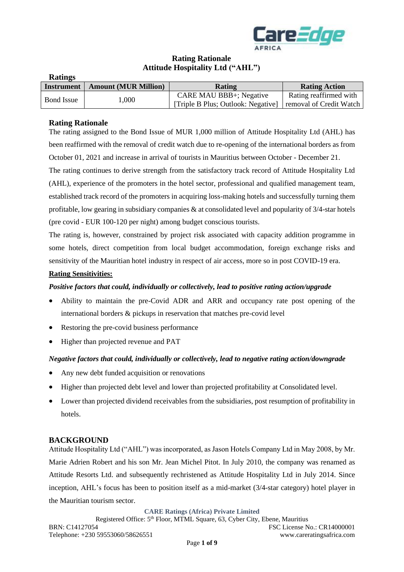

## **Rating Rationale Attitude Hospitality Ltd ("AHL")**

| <b>Ratings</b>    |                             |                                    |                         |
|-------------------|-----------------------------|------------------------------------|-------------------------|
| Instrument        | <b>Amount (MUR Million)</b> | Rating                             | <b>Rating Action</b>    |
| <b>Bond Issue</b> | 1.000                       | CARE MAU BBB+; Negative            | Rating reaffirmed with  |
|                   |                             | [Triple B Plus; Outlook: Negative] | removal of Credit Watch |

## **Rating Rationale**

The rating assigned to the Bond Issue of MUR 1,000 million of Attitude Hospitality Ltd (AHL) has been reaffirmed with the removal of credit watch due to re-opening of the international borders as from October 01, 2021 and increase in arrival of tourists in Mauritius between October - December 21.

The rating continues to derive strength from the satisfactory track record of Attitude Hospitality Ltd (AHL), experience of the promoters in the hotel sector, professional and qualified management team, established track record of the promoters in acquiring loss-making hotels and successfully turning them profitable, low gearing in subsidiary companies & at consolidated level and popularity of 3/4-star hotels (pre covid - EUR 100-120 per night) among budget conscious tourists.

The rating is, however, constrained by project risk associated with capacity addition programme in some hotels, direct competition from local budget accommodation, foreign exchange risks and sensitivity of the Mauritian hotel industry in respect of air access, more so in post COVID-19 era.

## **Rating Sensitivities:**

## *Positive factors that could, individually or collectively, lead to positive rating action/upgrade*

- Ability to maintain the pre-Covid ADR and ARR and occupancy rate post opening of the international borders & pickups in reservation that matches pre-covid level
- Restoring the pre-covid business performance
- Higher than projected revenue and PAT

## *Negative factors that could, individually or collectively, lead to negative rating action/downgrade*

- Any new debt funded acquisition or renovations
- Higher than projected debt level and lower than projected profitability at Consolidated level.
- Lower than projected dividend receivables from the subsidiaries, post resumption of profitability in hotels.

#### **BACKGROUND**

Attitude Hospitality Ltd ("AHL") was incorporated, as Jason Hotels Company Ltd in May 2008, by Mr. Marie Adrien Robert and his son Mr. Jean Michel Pitot. In July 2010, the company was renamed as Attitude Resorts Ltd. and subsequently rechristened as Attitude Hospitality Ltd in July 2014. Since inception, AHL's focus has been to position itself as a mid-market (3/4-star category) hotel player in the Mauritian tourism sector.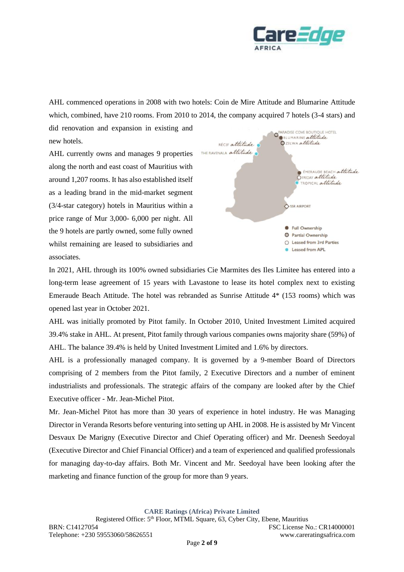

AHL commenced operations in 2008 with two hotels: Coin de Mire Attitude and Blumarine Attitude which, combined, have 210 rooms. From 2010 to 2014, the company acquired 7 hotels (3-4 stars) and

new hotels. AHL currently owns and manages 9 properties along the north and east coast of Mauritius with around 1,207 rooms. It has also established itself as a leading brand in the mid-market segment (3/4-star category) hotels in Mauritius within a price range of Mur 3,000- 6,000 per night. All the 9 hotels are partly owned, some fully owned whilst remaining are leased to subsidiaries and associates.

did renovation and expansion in existing and



In 2021, AHL through its 100% owned subsidiaries Cie Marmites des Iles Limitee has entered into a long-term lease agreement of 15 years with Lavastone to lease its hotel complex next to existing Emeraude Beach Attitude. The hotel was rebranded as Sunrise Attitude 4\* (153 rooms) which was opened last year in October 2021.

AHL was initially promoted by Pitot family. In October 2010, United Investment Limited acquired 39.4% stake in AHL. At present, Pitot family through various companies owns majority share (59%) of AHL. The balance 39.4% is held by United Investment Limited and 1.6% by directors.

AHL is a professionally managed company. It is governed by a 9-member Board of Directors comprising of 2 members from the Pitot family, 2 Executive Directors and a number of eminent industrialists and professionals. The strategic affairs of the company are looked after by the Chief Executive officer - Mr. Jean-Michel Pitot.

Mr. Jean-Michel Pitot has more than 30 years of experience in hotel industry. He was Managing Director in Veranda Resorts before venturing into setting up AHL in 2008. He is assisted by Mr Vincent Desvaux De Marigny (Executive Director and Chief Operating officer) and Mr. Deenesh Seedoyal (Executive Director and Chief Financial Officer) and a team of experienced and qualified professionals for managing day-to-day affairs. Both Mr. Vincent and Mr. Seedoyal have been looking after the marketing and finance function of the group for more than 9 years.

**CARE Ratings (Africa) Private Limited**

Registered Office: 5<sup>th</sup> Floor, MTML Square, 63, Cyber City, Ebene, Mauritius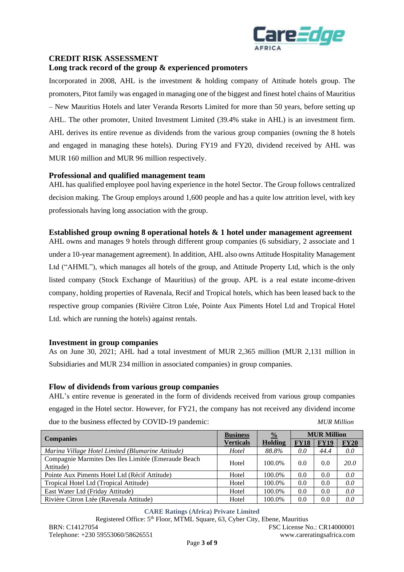

# **CREDIT RISK ASSESSMENT**

#### **Long track record of the group & experienced promoters**

Incorporated in 2008, AHL is the investment & holding company of Attitude hotels group. The promoters, Pitot family was engaged in managing one of the biggest and finest hotel chains of Mauritius – New Mauritius Hotels and later Veranda Resorts Limited for more than 50 years, before setting up AHL. The other promoter, United Investment Limited (39.4% stake in AHL) is an investment firm. AHL derives its entire revenue as dividends from the various group companies (owning the 8 hotels and engaged in managing these hotels). During FY19 and FY20, dividend received by AHL was MUR 160 million and MUR 96 million respectively.

## **Professional and qualified management team**

AHL has qualified employee pool having experience in the hotel Sector. The Group follows centralized decision making. The Group employs around 1,600 people and has a quite low attrition level, with key professionals having long association with the group.

## **Established group owning 8 operational hotels & 1 hotel under management agreement**

AHL owns and manages 9 hotels through different group companies (6 subsidiary, 2 associate and 1 under a 10-year management agreement). In addition, AHL also owns Attitude Hospitality Management Ltd ("AHML"), which manages all hotels of the group, and Attitude Property Ltd, which is the only listed company (Stock Exchange of Mauritius) of the group. APL is a real estate income-driven company, holding properties of Ravenala, Recif and Tropical hotels, which has been leased back to the respective group companies (Rivière Citron Ltée, Pointe Aux Piments Hotel Ltd and Tropical Hotel Ltd. which are running the hotels) against rentals.

#### **Investment in group companies**

As on June 30, 2021; AHL had a total investment of MUR 2,365 million (MUR 2,131 million in Subsidiaries and MUR 234 million in associated companies) in group companies.

#### **Flow of dividends from various group companies**

AHL's entire revenue is generated in the form of dividends received from various group companies engaged in the Hotel sector. However, for FY21, the company has not received any dividend income due to the business effected by COVID-19 pandemic: *MUR Million*

|                                                                  | <b>Business</b> | $\frac{0}{0}$ | <b>MUR Million</b> |             |             |
|------------------------------------------------------------------|-----------------|---------------|--------------------|-------------|-------------|
| <b>Companies</b>                                                 | Verticals       | Holding       | <b>FY18</b>        | <b>FY19</b> | <b>FY20</b> |
| Marina Village Hotel Limited (Blumarine Attitude)                | Hotel           | 88.8%         | 0.0                | 44.4        | 0.0         |
| Compagnie Marmites Des Iles Limitée (Emeraude Beach<br>Attitude) | Hotel           | 100.0%        | 0.0                | 0.0         | <i>20.0</i> |
| Pointe Aux Piments Hotel Ltd (Récif Attitude)                    | Hotel           | 100.0%        | 0.0                | 0.0         | 0.0         |
| Tropical Hotel Ltd (Tropical Attitude)                           | Hotel           | 100.0%        | 0.0                | 0.0         | 0.0         |
| East Water Ltd (Friday Attitude)                                 | Hotel           | 100.0%        | 0.0                | 0.0         | 0.0         |
| Rivière Citron Ltée (Ravenala Attitude)                          | Hotel           | 100.0%        | 0.0                | 0.0         | 0.0         |

**CARE Ratings (Africa) Private Limited** Registered Office: 5<sup>th</sup> Floor, MTML Square, 63, Cyber City, Ebene, Mauritius BRN: C14127054 FSC License No.: CR14000001 Telephone: +230 59553060/58626551 www.careratingsafrica.com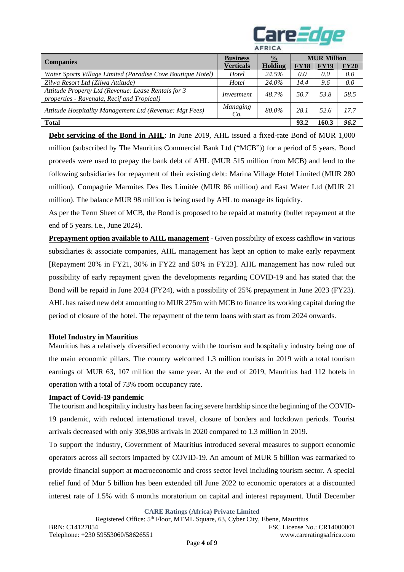

|                                                                                                   |                  | <b>AFRICA</b>  |                    |             |             |
|---------------------------------------------------------------------------------------------------|------------------|----------------|--------------------|-------------|-------------|
|                                                                                                   | <b>Business</b>  | $\frac{0}{0}$  | <b>MUR Million</b> |             |             |
| <b>Companies</b>                                                                                  | <b>Verticals</b> | <b>Holding</b> | <b>FY18</b>        | <b>FY19</b> | <b>FY20</b> |
| Water Sports Village Limited (Paradise Cove Boutique Hotel)                                       | Hotel            | 24.5%          | 0.0                | 0.0         | 0.0         |
| Zilwa Resort Ltd (Zilwa Attitude)                                                                 | Hotel            | 24.0%          | 14.4               | 9.6         | 0.0         |
| Attitude Property Ltd (Revenue: Lease Rentals for 3<br>properties - Ravenala, Recif and Tropical) | Investment       | 48.7%          | 50.7               | 53.8        | 58.5        |
| Attitude Hospitality Management Ltd (Revenue: Mgt Fees)                                           | Managing<br>Co.  | 80.0%          | 28.1               | 52.6        | 17.7        |
| <b>Total</b>                                                                                      |                  |                | 93.2               | 160.3       | 96.2        |

**Debt servicing of the Bond in AHL**: In June 2019, AHL issued a fixed-rate Bond of MUR 1,000 million (subscribed by The Mauritius Commercial Bank Ltd ("MCB")) for a period of 5 years. Bond proceeds were used to prepay the bank debt of AHL (MUR 515 million from MCB) and lend to the following subsidiaries for repayment of their existing debt: Marina Village Hotel Limited (MUR 280 million), Compagnie Marmites Des Iles Limitée (MUR 86 million) and East Water Ltd (MUR 21 million). The balance MUR 98 million is being used by AHL to manage its liquidity.

As per the Term Sheet of MCB, the Bond is proposed to be repaid at maturity (bullet repayment at the end of 5 years. i.e., June 2024).

**Prepayment option available to AHL management** - Given possibility of excess cashflow in various subsidiaries & associate companies, AHL management has kept an option to make early repayment [Repayment 20% in FY21, 30% in FY22 and 50% in FY23]. AHL management has now ruled out possibility of early repayment given the developments regarding COVID-19 and has stated that the Bond will be repaid in June 2024 (FY24), with a possibility of 25% prepayment in June 2023 (FY23). AHL has raised new debt amounting to MUR 275m with MCB to finance its working capital during the period of closure of the hotel. The repayment of the term loans with start as from 2024 onwards.

#### **Hotel Industry in Mauritius**

Mauritius has a relatively diversified economy with the tourism and hospitality industry being one of the main economic pillars. The country welcomed 1.3 million tourists in 2019 with a total tourism earnings of MUR 63, 107 million the same year. At the end of 2019, Mauritius had 112 hotels in operation with a total of 73% room occupancy rate.

#### **Impact of Covid-19 pandemic**

The tourism and hospitality industry has been facing severe hardship since the beginning of the COVID-19 pandemic, with reduced international travel, closure of borders and lockdown periods. Tourist arrivals decreased with only 308,908 arrivals in 2020 compared to 1.3 million in 2019.

To support the industry, Government of Mauritius introduced several measures to support economic operators across all sectors impacted by COVID-19. An amount of MUR 5 billion was earmarked to provide financial support at macroeconomic and cross sector level including tourism sector. A special relief fund of Mur 5 billion has been extended till June 2022 to economic operators at a discounted interest rate of 1.5% with 6 months moratorium on capital and interest repayment. Until December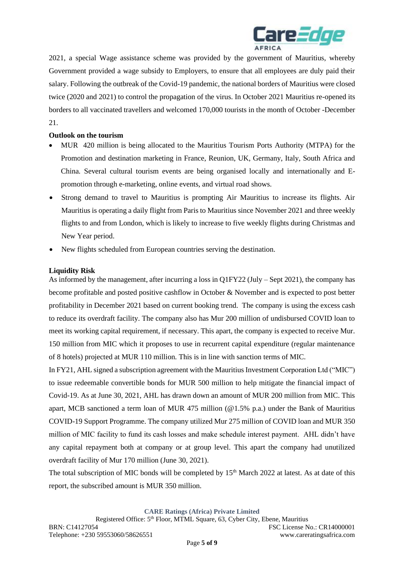

2021, a special Wage assistance scheme was provided by the government of Mauritius, whereby Government provided a wage subsidy to Employers, to ensure that all employees are duly paid their salary. Following the outbreak of the Covid-19 pandemic, the national borders of Mauritius were closed twice (2020 and 2021) to control the propagation of the virus. In October 2021 Mauritius re-opened its borders to all vaccinated travellers and welcomed 170,000 tourists in the month of October -December 21.

## **Outlook on the tourism**

- MUR 420 million is being allocated to the Mauritius Tourism Ports Authority (MTPA) for the Promotion and destination marketing in France, Reunion, UK, Germany, Italy, South Africa and China*.* Several cultural tourism events are being organised locally and internationally and Epromotion through e-marketing, online events, and virtual road shows.
- Strong demand to travel to Mauritius is prompting Air Mauritius to increase its flights. Air Mauritius is operating a daily flight from Paris to Mauritius since November 2021 and three weekly flights to and from London, which is likely to increase to five weekly flights during Christmas and New Year period.
- New flights scheduled from European countries serving the destination.

## **Liquidity Risk**

As informed by the management, after incurring a loss in Q1FY22 (July – Sept 2021), the company has become profitable and posted positive cashflow in October & November and is expected to post better profitability in December 2021 based on current booking trend. The company is using the excess cash to reduce its overdraft facility. The company also has Mur 200 million of undisbursed COVID loan to meet its working capital requirement, if necessary. This apart, the company is expected to receive Mur. 150 million from MIC which it proposes to use in recurrent capital expenditure (regular maintenance of 8 hotels) projected at MUR 110 million. This is in line with sanction terms of MIC.

In FY21, AHL signed a subscription agreement with the Mauritius Investment Corporation Ltd ("MIC") to issue redeemable convertible bonds for MUR 500 million to help mitigate the financial impact of Covid-19. As at June 30, 2021, AHL has drawn down an amount of MUR 200 million from MIC. This apart, MCB sanctioned a term loan of MUR 475 million (@1.5% p.a.) under the Bank of Mauritius COVID-19 Support Programme. The company utilized Mur 275 million of COVID loan and MUR 350 million of MIC facility to fund its cash losses and make schedule interest payment. AHL didn't have any capital repayment both at company or at group level. This apart the company had unutilized overdraft facility of Mur 170 million (June 30, 2021).

The total subscription of MIC bonds will be completed by  $15<sup>th</sup>$  March 2022 at latest. As at date of this report, the subscribed amount is MUR 350 million.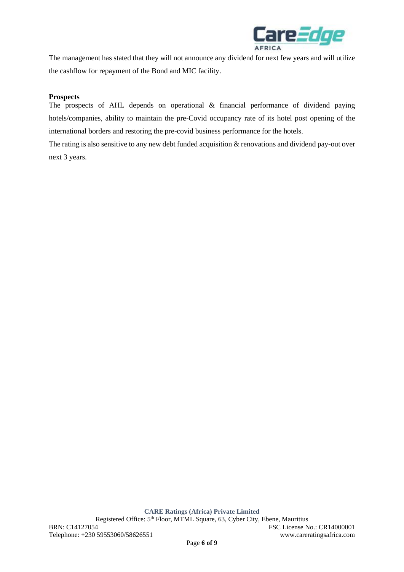

The management has stated that they will not announce any dividend for next few years and will utilize the cashflow for repayment of the Bond and MIC facility.

#### **Prospects**

The prospects of AHL depends on operational & financial performance of dividend paying hotels/companies, ability to maintain the pre-Covid occupancy rate of its hotel post opening of the international borders and restoring the pre-covid business performance for the hotels.

The rating is also sensitive to any new debt funded acquisition & renovations and dividend pay-out over next 3 years.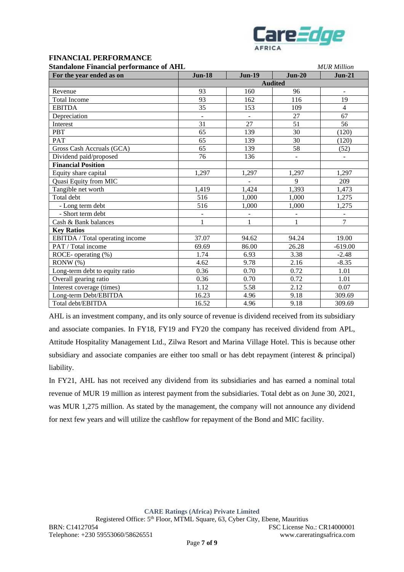

# **FINANCIAL PERFORMANCE**

| <b>Standalone Financial performance of AHL</b> |                |                              | <b>MUR</b> Million |                              |  |
|------------------------------------------------|----------------|------------------------------|--------------------|------------------------------|--|
| For the year ended as on                       | <b>Jun-18</b>  | <b>Jun-19</b>                | $Jun-20$           | $Jun-21$                     |  |
|                                                | <b>Audited</b> |                              |                    |                              |  |
| Revenue                                        | 93             | 160                          | 96                 | $\blacksquare$               |  |
| <b>Total Income</b>                            | 93             | 162                          | 116                | 19                           |  |
| <b>EBITDA</b>                                  | 35             | 153                          | 109                | $\overline{4}$               |  |
| Depreciation                                   |                |                              | 27                 | 67                           |  |
| Interest                                       | 31             | 27                           | 51                 | 56                           |  |
| <b>PBT</b>                                     | 65             | 139                          | 30                 | (120)                        |  |
| <b>PAT</b>                                     | 65             | 139                          | 30                 | (120)                        |  |
| Gross Cash Accruals (GCA)                      | 65             | 139                          | 58                 | (52)                         |  |
| Dividend paid/proposed                         | 76             | 136                          |                    |                              |  |
| <b>Financial Position</b>                      |                |                              |                    |                              |  |
| Equity share capital                           | 1,297          | 1,297                        | 1,297              | 1,297                        |  |
| Quasi Equity from MIC                          |                |                              | $\mathbf{Q}$       | 209                          |  |
| Tangible net worth                             | 1,419          | 1,424                        | 1,393              | 1,473                        |  |
| Total debt                                     | 516            | 1,000                        | 1,000              | 1,275                        |  |
| - Long term debt                               | 516            | 1,000                        | 1,000              | 1,275                        |  |
| - Short term debt                              |                | $\qquad \qquad \blacksquare$ |                    | $\qquad \qquad \blacksquare$ |  |
| Cash & Bank balances                           | $\mathbf{1}$   | 1                            | 1                  | $\overline{7}$               |  |
| <b>Key Ratios</b>                              |                |                              |                    |                              |  |
| EBITDA / Total operating income                | 37.07          | 94.62                        | 94.24              | 19.00                        |  |
| PAT / Total income                             | 69.69          | 86.00                        | 26.28              | $-619.00$                    |  |
| ROCE- operating (%)                            | 1.74           | 6.93                         | 3.38               | $-2.48$                      |  |
| RONW(%)                                        | 4.62           | 9.78                         | 2.16               | $-8.35$                      |  |
| Long-term debt to equity ratio                 | 0.36           | 0.70                         | 0.72               | 1.01                         |  |
| Overall gearing ratio                          | 0.36           | 0.70                         | 0.72               | 1.01                         |  |
| Interest coverage (times)                      | 1.12           | 5.58                         | 2.12               | 0.07                         |  |
| Long-term Debt/EBITDA                          | 16.23          | 4.96                         | 9.18               | 309.69                       |  |
| Total debt/EBITDA                              | 16.52          | 4.96                         | 9.18               | 309.69                       |  |

AHL is an investment company, and its only source of revenue is dividend received from its subsidiary and associate companies. In FY18, FY19 and FY20 the company has received dividend from APL, Attitude Hospitality Management Ltd., Zilwa Resort and Marina Village Hotel. This is because other subsidiary and associate companies are either too small or has debt repayment (interest & principal) liability.

In FY21, AHL has not received any dividend from its subsidiaries and has earned a nominal total revenue of MUR 19 million as interest payment from the subsidiaries. Total debt as on June 30, 2021, was MUR 1,275 million. As stated by the management, the company will not announce any dividend for next few years and will utilize the cashflow for repayment of the Bond and MIC facility.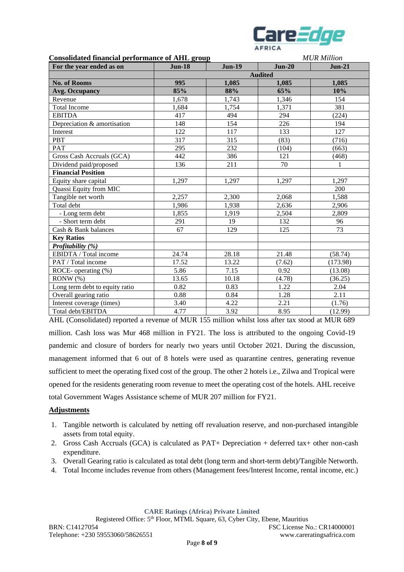

| <b>Consolidated financial performance of AHL group</b> |                |               |          | <b>MUR</b> Million |  |
|--------------------------------------------------------|----------------|---------------|----------|--------------------|--|
| For the year ended as on                               | <b>Jun-18</b>  | <b>Jun-19</b> | $Jun-20$ | $Jun-21$           |  |
|                                                        | <b>Audited</b> |               |          |                    |  |
| <b>No. of Rooms</b>                                    | 995            | 1,085         | 1,085    | 1,085              |  |
| <b>Avg. Occupancy</b>                                  | 85%            | 88%           | 65%      | 10%                |  |
| Revenue                                                | 1,678          | 1,743         | 1,346    | 154                |  |
| <b>Total Income</b>                                    | 1,684          | 1,754         | 1,371    | 381                |  |
| <b>EBITDA</b>                                          | 417            | 494           | 294      | (224)              |  |
| Depreciation & amortisation                            | 148            | 154           | 226      | 194                |  |
| Interest                                               | 122            | 117           | 133      | 127                |  |
| PBT                                                    | 317            | 315           | (83)     | (716)              |  |
| <b>PAT</b>                                             | 295            | 232           | (104)    | (663)              |  |
| Gross Cash Accruals (GCA)                              | 442            | 386           | 121      | (468)              |  |
| Dividend paid/proposed                                 | 136            | 211           | 70       | 1                  |  |
| <b>Financial Position</b>                              |                |               |          |                    |  |
| Equity share capital                                   | 1,297          | 1,297         | 1,297    | 1,297              |  |
| Quassi Equity from MIC                                 |                |               |          | 200                |  |
| Tangible net worth                                     | 2,257          | 2,300         | 2,068    | 1,588              |  |
| Total debt                                             | 1,986          | 1,938         | 2,636    | 2,906              |  |
| - Long term debt                                       | 1,855          | 1,919         | 2,504    | 2,809              |  |
| - Short term debt                                      | 291            | 19            | 132      | 96                 |  |
| Cash & Bank balances                                   | 67             | 129           | 125      | 73                 |  |
| <b>Key Ratios</b>                                      |                |               |          |                    |  |
| Profitability (%)                                      |                |               |          |                    |  |
| EBIDTA / Total income                                  | 24.74          | 28.18         | 21.48    | (58.74)            |  |
| PAT / Total income                                     | 17.52          | 13.22         | (7.62)   | (173.98)           |  |
| ROCE- operating (%)                                    | 5.86           | 7.15          | 0.92     | (13.08)            |  |
| RONW(%)                                                | 13.65          | 10.18         | (4.78)   | (36.25)            |  |
| Long term debt to equity ratio                         | 0.82           | 0.83          | 1.22     | 2.04               |  |
| Overall gearing ratio                                  | 0.88           | 0.84          | 1.28     | 2.11               |  |
| Interest coverage (times)                              | 3.40           | 4.22          | 2.21     | (1.76)             |  |
| Total debt/EBITDA                                      | 4.77           | 3.92          | 8.95     | (12.99)            |  |

AHL (Consolidated) reported a revenue of MUR 155 million whilst loss after tax stood at MUR 689 million. Cash loss was Mur 468 million in FY21. The loss is attributed to the ongoing Covid-19 pandemic and closure of borders for nearly two years until October 2021. During the discussion, management informed that 6 out of 8 hotels were used as quarantine centres, generating revenue sufficient to meet the operating fixed cost of the group. The other 2 hotels i.e., Zilwa and Tropical were opened for the residents generating room revenue to meet the operating cost of the hotels. AHL receive total Government Wages Assistance scheme of MUR 207 million for FY21.

#### **Adjustments**

- 1. Tangible networth is calculated by netting off revaluation reserve, and non-purchased intangible assets from total equity.
- 2. Gross Cash Accruals (GCA) is calculated as PAT+ Depreciation + deferred tax+ other non-cash expenditure.
- 3. Overall Gearing ratio is calculated as total debt (long term and short-term debt)/Tangible Networth.
- 4. Total Income includes revenue from others (Management fees/Interest Income, rental income, etc.)

**CARE Ratings (Africa) Private Limited**

Registered Office: 5<sup>th</sup> Floor, MTML Square, 63, Cyber City, Ebene, Mauritius